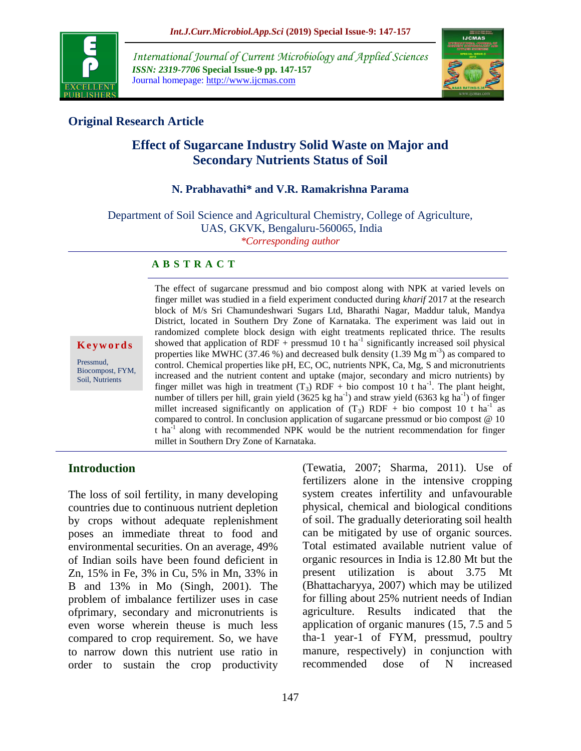

*International Journal of Current Microbiology and Applied Sciences ISSN: 2319-7706* **Special Issue-9 pp. 147-157** Journal homepage: http://www.ijcmas.com



## **Original Research Article**

# **Effect of Sugarcane Industry Solid Waste on Major and Secondary Nutrients Status of Soil**

### **N. Prabhavathi\* and V.R. Ramakrishna Parama**

Department of Soil Science and Agricultural Chemistry, College of Agriculture, UAS, GKVK, Bengaluru-560065, India *\*Corresponding author*

#### **A B S T R A C T**

#### **K e y w o r d s**

Pressmud, Biocompost, FYM, Soil, Nutrients

The effect of sugarcane pressmud and bio compost along with NPK at varied levels on finger millet was studied in a field experiment conducted during *kharif* 2017 at the research block of M/s Sri Chamundeshwari Sugars Ltd, Bharathi Nagar, Maddur taluk, Mandya District, located in Southern Dry Zone of Karnataka. The experiment was laid out in randomized complete block design with eight treatments replicated thrice. The results showed that application of RDF + pressmud 10 t ha<sup>-1</sup> significantly increased soil physical properties like MWHC (37.46 %) and decreased bulk density (1.39 Mg  $\text{m}^3$ ) as compared to control. Chemical properties like pH, EC, OC, nutrients NPK, Ca, Mg, S and micronutrients increased and the nutrient content and uptake (major, secondary and micro nutrients) by finger millet was high in treatment  $(T_3)$  RDF + bio compost 10 t ha<sup>-1</sup>. The plant height, number of tillers per hill, grain yield  $(3625 \text{ kg ha}^{-1})$  and straw yield  $(6363 \text{ kg ha}^{-1})$  of finger millet increased significantly on application of  $(T_3)$  RDF + bio compost 10 t ha<sup>-1</sup> as compared to control. In conclusion application of sugarcane pressmud or bio compost @ 10 t ha<sup>-1</sup> along with recommended NPK would be the nutrient recommendation for finger millet in Southern Dry Zone of Karnataka.

## **Introduction**

The loss of soil fertility, in many developing countries due to continuous nutrient depletion by crops without adequate replenishment poses an immediate threat to food and environmental securities. On an average, 49% of Indian soils have been found deficient in Zn, 15% in Fe, 3% in Cu, 5% in Mn, 33% in B and 13% in Mo (Singh, 2001). The problem of imbalance fertilizer uses in case ofprimary, secondary and micronutrients is even worse wherein theuse is much less compared to crop requirement. So, we have to narrow down this nutrient use ratio in order to sustain the crop productivity (Tewatia, 2007; Sharma, 2011). Use of fertilizers alone in the intensive cropping system creates infertility and unfavourable physical, chemical and biological conditions of soil. The gradually deteriorating soil health can be mitigated by use of organic sources. Total estimated available nutrient value of organic resources in India is 12.80 Mt but the present utilization is about 3.75 Mt (Bhattacharyya, 2007) which may be utilized for filling about 25% nutrient needs of Indian agriculture. Results indicated that the application of organic manures (15, 7.5 and 5 tha-1 year-1 of FYM, pressmud, poultry manure, respectively) in conjunction with recommended dose of N increased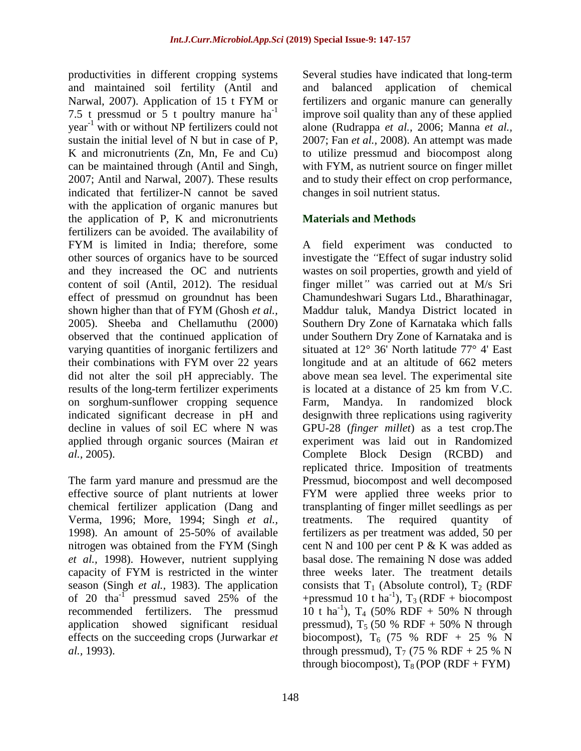productivities in different cropping systems and maintained soil fertility (Antil and Narwal, 2007). Application of 15 t FYM or 7.5 t pressmud or 5 t poultry manure  $ha^{-1}$ year-1 with or without NP fertilizers could not sustain the initial level of N but in case of P, K and micronutrients (Zn, Mn, Fe and Cu) can be maintained through (Antil and Singh, 2007; Antil and Narwal, 2007). These results indicated that fertilizer-N cannot be saved with the application of organic manures but the application of P, K and micronutrients fertilizers can be avoided. The availability of FYM is limited in India; therefore, some other sources of organics have to be sourced and they increased the OC and nutrients content of soil (Antil, 2012). The residual effect of pressmud on groundnut has been shown higher than that of FYM (Ghosh *et al.,*  2005). Sheeba and Chellamuthu (2000) observed that the continued application of varying quantities of inorganic fertilizers and their combinations with FYM over 22 years did not alter the soil pH appreciably. The results of the long-term fertilizer experiments on sorghum-sunflower cropping sequence indicated significant decrease in pH and decline in values of soil EC where N was applied through organic sources (Mairan *et al.,* 2005).

The farm yard manure and pressmud are the effective source of plant nutrients at lower chemical fertilizer application (Dang and Verma, 1996; More, 1994; Singh *et al.,*  1998). An amount of 25-50% of available nitrogen was obtained from the FYM (Singh *et al.,* 1998). However, nutrient supplying capacity of FYM is restricted in the winter season (Singh *et al.,* 1983). The application of 20 tha $^{-1}$  pressmud saved 25% of the recommended fertilizers. The pressmud application showed significant residual effects on the succeeding crops (Jurwarkar *et al.,* 1993).

Several studies have indicated that long-term and balanced application of chemical fertilizers and organic manure can generally improve soil quality than any of these applied alone (Rudrappa *et al.,* 2006; Manna *et al.,*  2007; Fan *et al.,* 2008). An attempt was made to utilize pressmud and biocompost along with FYM, as nutrient source on finger millet and to study their effect on crop performance, changes in soil nutrient status.

## **Materials and Methods**

A field experiment was conducted to investigate the *"*Effect of sugar industry solid wastes on soil properties, growth and yield of finger millet*"* was carried out at M/s Sri Chamundeshwari Sugars Ltd., Bharathinagar, Maddur taluk, Mandya District located in Southern Dry Zone of Karnataka which falls under Southern Dry Zone of Karnataka and is situated at 12° 36' North latitude 77° 4' East longitude and at an altitude of 662 meters above mean sea level. The experimental site is located at a distance of 25 km from V.C. Farm, Mandya. In randomized block designwith three replications using ragiverity GPU-28 (*finger millet*) as a test crop.The experiment was laid out in Randomized Complete Block Design (RCBD) and replicated thrice. Imposition of treatments Pressmud, biocompost and well decomposed FYM were applied three weeks prior to transplanting of finger millet seedlings as per treatments. The required quantity of fertilizers as per treatment was added, 50 per cent N and 100 per cent P & K was added as basal dose. The remaining N dose was added three weeks later. The treatment details consists that  $T_1$  (Absolute control),  $T_2$  (RDF +pressmud 10 t ha<sup>-1</sup>),  $T_3$  (RDF + biocompost  $10$  t ha<sup>-1</sup>), T<sub>4</sub> (50% RDF + 50% N through pressmud),  $T_5$  (50 % RDF + 50% N through biocompost),  $T_6$  (75 % RDF + 25 % N through pressmud),  $T_7$  (75 % RDF + 25 % N through biocompost),  $T_8$  (POP (RDF + FYM)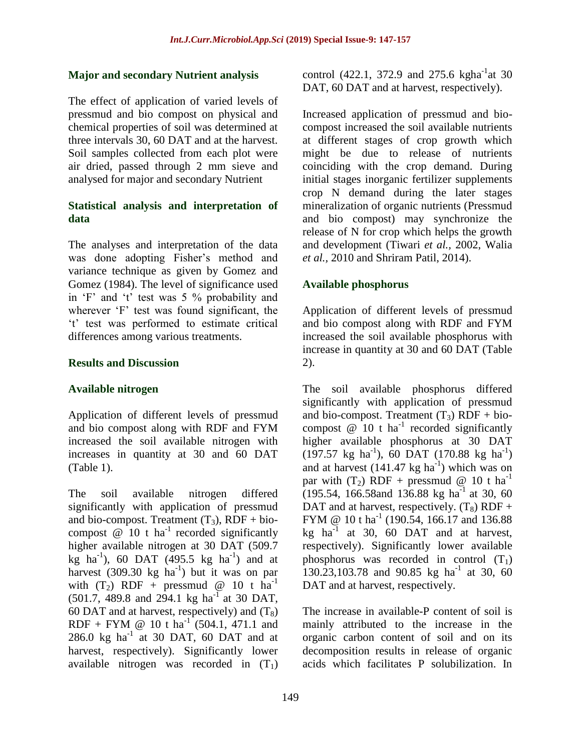#### **Major and secondary Nutrient analysis**

The effect of application of varied levels of pressmud and bio compost on physical and chemical properties of soil was determined at three intervals 30, 60 DAT and at the harvest. Soil samples collected from each plot were air dried, passed through 2 mm sieve and analysed for major and secondary Nutrient

#### **Statistical analysis and interpretation of data**

The analyses and interpretation of the data was done adopting Fisher's method and variance technique as given by Gomez and Gomez (1984). The level of significance used in 'F' and 't' test was 5 % probability and wherever 'F' test was found significant, the 't' test was performed to estimate critical differences among various treatments.

### **Results and Discussion**

### **Available nitrogen**

Application of different levels of pressmud and bio compost along with RDF and FYM increased the soil available nitrogen with increases in quantity at 30 and 60 DAT (Table 1).

The soil available nitrogen differed significantly with application of pressmud and bio-compost. Treatment  $(T_3)$ , RDF + biocompost  $\omega$  10 t ha<sup>-1</sup> recorded significantly higher available nitrogen at 30 DAT (509.7  $kg$  ha<sup>-1</sup>), 60 DAT (495.5 kg ha<sup>-1</sup>) and at harvest  $(309.30 \text{ kg} \text{ ha}^{-1})$  but it was on par with  $(T_2)$  RDF + pressmud @ 10 t ha<sup>-1</sup>  $(501.7, 489.8 \text{ and } 294.1 \text{ kg ha}^{-1} \text{ at } 30 \text{ DAT},$ 60 DAT and at harvest, respectively) and  $(T_8)$ RDF + FYM  $\omega$  10 t ha<sup>-1</sup> (504.1, 471.1 and  $286.0$  kg ha<sup>-1</sup> at 30 DAT, 60 DAT and at harvest, respectively). Significantly lower available nitrogen was recorded in  $(T_1)$ 

control (422.1, 372.9 and 275.6 kgha<sup>-1</sup> at 30 DAT, 60 DAT and at harvest, respectively).

Increased application of pressmud and biocompost increased the soil available nutrients at different stages of crop growth which might be due to release of nutrients coinciding with the crop demand. During initial stages inorganic fertilizer supplements crop N demand during the later stages mineralization of organic nutrients (Pressmud and bio compost) may synchronize the release of N for crop which helps the growth and development (Tiwari *et al.,* 2002, Walia *et al.,* 2010 and Shriram Patil, 2014).

### **Available phosphorus**

Application of different levels of pressmud and bio compost along with RDF and FYM increased the soil available phosphorus with increase in quantity at 30 and 60 DAT (Table 2).

The soil available phosphorus differed significantly with application of pressmud and bio-compost. Treatment  $(T_3)$  RDF + biocompost  $\omega$  10 t ha<sup>-1</sup> recorded significantly higher available phosphorus at 30 DAT  $(197.57 \text{ kg ha}^{-1}), 60 \text{ DAT} (170.88 \text{ kg ha}^{-1})$ and at harvest  $(141.47 \text{ kg ha}^{-1})$  which was on par with  $(T_2)$  RDF + pressmud @ 10 t ha<sup>-1</sup>  $(195.54, 166.58$ and 136.88 kg ha<sup>-1</sup> at 30, 60 DAT and at harvest, respectively.  $(T_8)$  RDF + FYM @  $10 \text{ t} \text{ ha}^{-1}$  (190.54, 166.17 and 136.88 kg ha<sup>-1</sup> at 30, 60 DAT and at harvest, respectively). Significantly lower available phosphorus was recorded in control  $(T_1)$  $130.23, 103.78$  and 90.85 kg ha<sup>-1</sup> at 30, 60 DAT and at harvest, respectively.

The increase in available-P content of soil is mainly attributed to the increase in the organic carbon content of soil and on its decomposition results in release of organic acids which facilitates P solubilization. In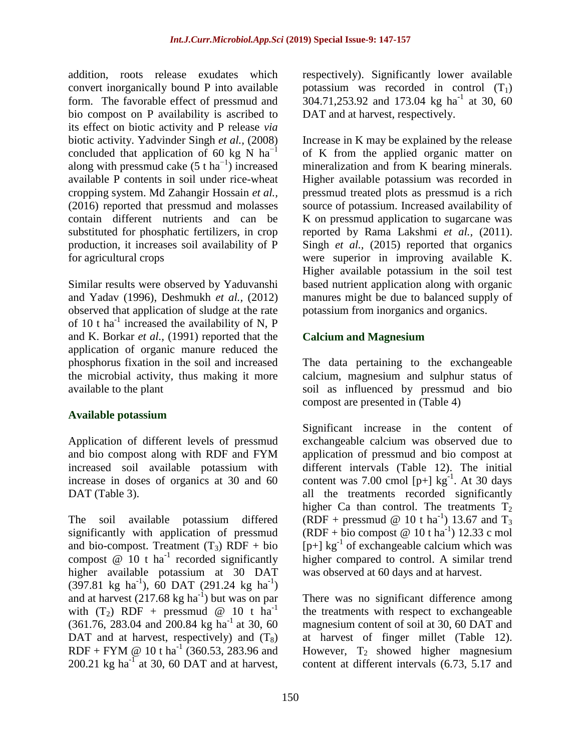addition, roots release exudates which convert inorganically bound P into available form. The favorable effect of pressmud and bio compost on P availability is ascribed to its effect on biotic activity and P release *via* biotic activity. Yadvinder Singh *et al.,* (2008) concluded that application of 60 kg N  $ha^{-1}$ along with pressmud cake  $(5 \text{ t ha}^{-1})$  increased available P contents in soil under rice-wheat cropping system. Md Zahangir Hossain *et al.,*  (2016) reported that pressmud and molasses contain different nutrients and can be substituted for phosphatic fertilizers, in crop production, it increases soil availability of P for agricultural crops

Similar results were observed by Yaduvanshi and Yadav (1996), Deshmukh *et al.,* (2012) observed that application of sludge at the rate of 10 t ha<sup>-1</sup> increased the availability of N, P and K. Borkar *et al.,* (1991) reported that the application of organic manure reduced the phosphorus fixation in the soil and increased the microbial activity, thus making it more available to the plant

### **Available potassium**

Application of different levels of pressmud and bio compost along with RDF and FYM increased soil available potassium with increase in doses of organics at 30 and 60 DAT (Table 3).

The soil available potassium differed significantly with application of pressmud and bio-compost. Treatment  $(T_3)$  RDF + bio compost  $\omega$  10 t ha<sup>-1</sup> recorded significantly higher available potassium at 30 DAT  $(397.81 \text{ kg} \text{ ha}^{-1}), 60 \text{ DAT} (291.24 \text{ kg} \text{ ha}^{-1})$ and at harvest  $(217.68 \text{ kg ha}^{-1})$  but was on par with  $(T_2)$  RDF + pressmud @ 10 t ha<sup>-1</sup>  $(361.76, 283.04, and 200.84 kg ha<sup>-1</sup> at 30, 60$ DAT and at harvest, respectively) and  $(T_8)$ RDF + FYM @ 10 t ha<sup>-1</sup> (360.53, 283.96 and  $200.21$  kg ha<sup>-1</sup> at 30, 60 DAT and at harvest,

respectively). Significantly lower available potassium was recorded in control  $(T_1)$  $304.71,253.92$  and 173.04 kg ha<sup>-1</sup> at 30, 60 DAT and at harvest, respectively.

Increase in K may be explained by the release of K from the applied organic matter on mineralization and from K bearing minerals. Higher available potassium was recorded in pressmud treated plots as pressmud is a rich source of potassium. Increased availability of K on pressmud application to sugarcane was reported by Rama Lakshmi *et al.,* (2011). Singh *et al.,* (2015) reported that organics were superior in improving available K. Higher available potassium in the soil test based nutrient application along with organic manures might be due to balanced supply of potassium from inorganics and organics.

## **Calcium and Magnesium**

The data pertaining to the exchangeable calcium, magnesium and sulphur status of soil as influenced by pressmud and bio compost are presented in (Table 4)

Significant increase in the content of exchangeable calcium was observed due to application of pressmud and bio compost at different intervals (Table 12). The initial content was 7.00 cmol  $[p+]$  kg<sup>-1</sup>. At 30 days all the treatments recorded significantly higher Ca than control. The treatments  $T_2$ (RDF + pressmud @ 10 t ha<sup>-1</sup>) 13.67 and  $T_3$  $(RDF + bio\, compost \ @\ 10 tha^{-1})\ 12.33\ c\ mol$  $[p+]$  kg<sup>-1</sup> of exchangeable calcium which was higher compared to control. A similar trend was observed at 60 days and at harvest.

There was no significant difference among the treatments with respect to exchangeable magnesium content of soil at 30, 60 DAT and at harvest of finger millet (Table 12). However,  $T_2$  showed higher magnesium content at different intervals (6.73, 5.17 and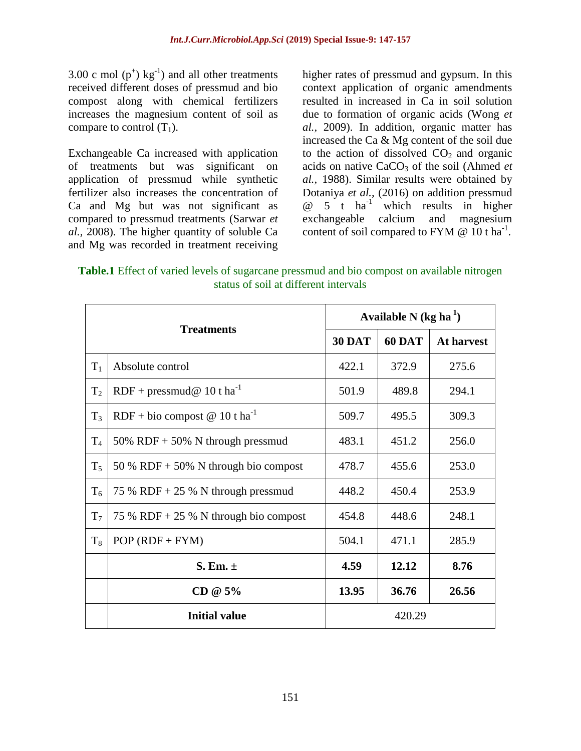3.00 c mol  $(p^+)$  kg<sup>-1</sup>) and all other treatments received different doses of pressmud and bio compost along with chemical fertilizers increases the magnesium content of soil as compare to control  $(T_1)$ .

Exchangeable Ca increased with application of treatments but was significant on application of pressmud while synthetic fertilizer also increases the concentration of Ca and Mg but was not significant as compared to pressmud treatments (Sarwar *et al.,* 2008). The higher quantity of soluble Ca and Mg was recorded in treatment receiving higher rates of pressmud and gypsum. In this context application of organic amendments resulted in increased in Ca in soil solution due to formation of organic acids (Wong *et al.,* 2009). In addition, organic matter has increased the Ca & Mg content of the soil due to the action of dissolved  $CO<sub>2</sub>$  and organic acids on native CaCO<sub>3</sub> of the soil (Ahmed *et al.,* 1988). Similar results were obtained by Dotaniya *et al.,* (2016) on addition pressmud  $\omega$  5 t ha<sup>-1</sup> which results in higher exchangeable calcium and magnesium content of soil compared to FYM  $@$  10 t ha<sup>-1</sup>.

**Table.1** Effect of varied levels of sugarcane pressmud and bio compost on available nitrogen status of soil at different intervals

| <b>Treatments</b> |                                           | Available N $(kg ha1)$ |               |                   |  |
|-------------------|-------------------------------------------|------------------------|---------------|-------------------|--|
|                   |                                           | <b>30 DAT</b>          | <b>60 DAT</b> | <b>At harvest</b> |  |
| $T_1$             | Absolute control                          | 422.1                  | 372.9         | 275.6             |  |
| T <sub>2</sub>    | $RDF + pressmud@ 10t ha-1$                | 501.9                  | 489.8         | 294.1             |  |
| $T_3$             | RDF + bio compost @ 10 t ha <sup>-1</sup> | 509.7                  | 495.5         | 309.3             |  |
| $T_4$             | 50% RDF $+$ 50% N through pressmud        | 483.1                  | 451.2         | 256.0             |  |
| $T_5$             | 50 % RDF + 50% N through bio compost      | 478.7                  | 455.6         | 253.0             |  |
| T <sub>6</sub>    | 75 % RDF + 25 % N through pressmud        | 448.2                  | 450.4         | 253.9             |  |
| T <sub>7</sub>    | 75 % RDF + 25 % N through bio compost     | 454.8                  | 448.6         | 248.1             |  |
| $T_8$             | $POP (RDF + FYM)$                         | 504.1                  | 471.1         | 285.9             |  |
|                   | S. Em. $\pm$                              | 4.59                   | 12.12         | 8.76              |  |
|                   | $CD @ 5\%$                                | 13.95                  | 36.76         | 26.56             |  |
|                   | <b>Initial value</b>                      | 420.29                 |               |                   |  |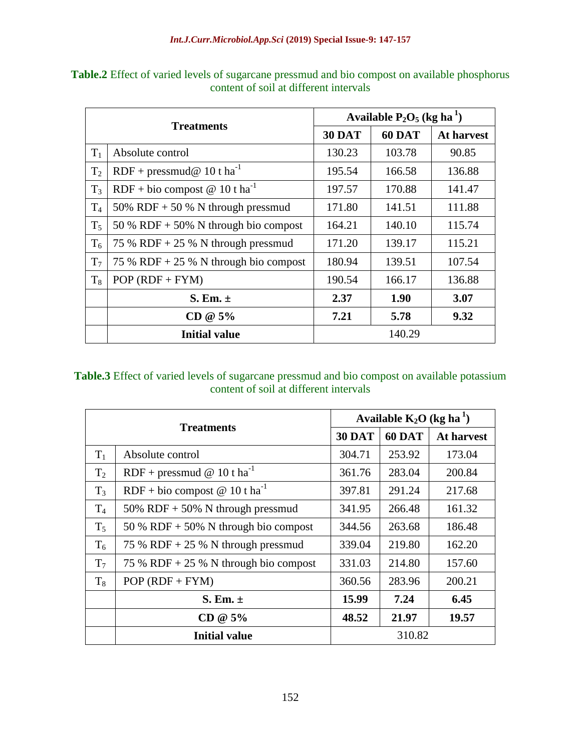| <b>Treatments</b> |                                           | Available $P_2O_5$ (kg ha <sup>1</sup> ) |               |            |  |
|-------------------|-------------------------------------------|------------------------------------------|---------------|------------|--|
|                   |                                           | <b>30 DAT</b>                            | <b>60 DAT</b> | At harvest |  |
| $T_1$             | Absolute control                          | 130.23                                   | 103.78        | 90.85      |  |
| T <sub>2</sub>    | $RDF + pressmud@ 10$ t ha <sup>-1</sup>   | 195.54                                   | 166.58        | 136.88     |  |
| $T_3$             | RDF + bio compost @ 10 t ha <sup>-1</sup> | 197.57                                   | 170.88        | 141.47     |  |
| T <sub>4</sub>    | 50% RDF + 50 % N through pressmud         | 171.80                                   | 141.51        | 111.88     |  |
| $T_5$             | 50 % RDF + 50% N through bio compost      | 164.21                                   | 140.10        | 115.74     |  |
| $T_6$             | 75 % RDF + 25 % N through pressmud        | 171.20                                   | 139.17        | 115.21     |  |
| $T_7$             | 75 % RDF + 25 % N through bio compost     | 180.94                                   | 139.51        | 107.54     |  |
| $T_8$             | $POP (RDF + FYM)$                         | 190.54                                   | 166.17        | 136.88     |  |
|                   | S. Em. $\pm$                              | 2.37                                     | 1.90          | 3.07       |  |
|                   | $CD @ 5\%$                                | 7.21                                     | 5.78          | 9.32       |  |
|                   | <b>Initial value</b>                      |                                          | 140.29        |            |  |

**Table.2** Effect of varied levels of sugarcane pressmud and bio compost on available phosphorus content of soil at different intervals

## **Table.3** Effect of varied levels of sugarcane pressmud and bio compost on available potassium content of soil at different intervals

| <b>Treatments</b> |                                             | Available $K_2O$ (kg ha <sup>1</sup> ) |               |                   |  |
|-------------------|---------------------------------------------|----------------------------------------|---------------|-------------------|--|
|                   |                                             | <b>30 DAT</b>                          | <b>60 DAT</b> | <b>At harvest</b> |  |
| $T_1$             | Absolute control                            | 304.71                                 | 253.92        | 173.04            |  |
| $T_2$             | RDF + pressmud @ 10 t ha <sup>-1</sup>      | 361.76                                 | 283.04        | 200.84            |  |
| $T_3$             | RDF + bio compost $@ 10$ t ha <sup>-1</sup> | 397.81                                 | 291.24        | 217.68            |  |
| T <sub>4</sub>    | 50% RDF + 50% N through pressmud            | 341.95                                 | 266.48        | 161.32            |  |
| $T_5$             | 50 % RDF + 50% N through bio compost        | 344.56                                 | 263.68        | 186.48            |  |
| $T_6$             | 75 % RDF + 25 % N through pressmud          | 339.04                                 | 219.80        | 162.20            |  |
| $T_7$             | 75 % RDF + 25 % N through bio compost       | 331.03                                 | 214.80        | 157.60            |  |
| $T_8$             | $POP (RDF + FYM)$                           | 360.56                                 | 283.96        | 200.21            |  |
|                   | S. Em. $\pm$                                | 15.99                                  | 7.24          | 6.45              |  |
|                   | $CD @ 5\%$                                  | 48.52                                  | 21.97         | 19.57             |  |
|                   | <b>Initial value</b>                        | 310.82                                 |               |                   |  |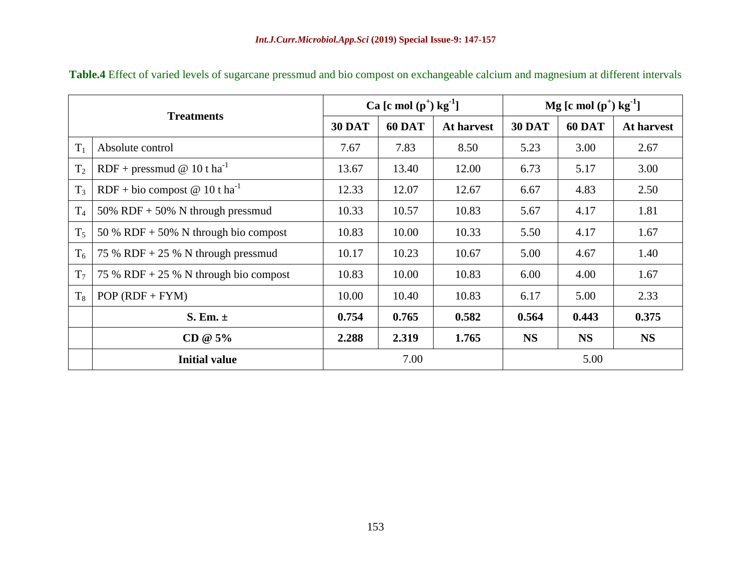| <b>Treatments</b> |                                           | Ca [c mol $(p^+)$ kg <sup>-1</sup> ] |               | $Mg$ [c mol (p <sup>+</sup> ) kg <sup>-1</sup> ] |               |               |            |
|-------------------|-------------------------------------------|--------------------------------------|---------------|--------------------------------------------------|---------------|---------------|------------|
|                   |                                           | <b>30 DAT</b>                        | <b>60 DAT</b> | At harvest                                       | <b>30 DAT</b> | <b>60 DAT</b> | At harvest |
| $T_1$             | Absolute control                          | 7.67                                 | 7.83          | 8.50                                             | 5.23          | 3.00          | 2.67       |
| T <sub>2</sub>    | RDF + pressmud @ 10 t ha <sup>-1</sup>    | 13.67                                | 13.40         | 12.00                                            | 6.73          | 5.17          | 3.00       |
| T <sub>3</sub>    | RDF + bio compost @ 10 t ha <sup>-1</sup> | 12.33                                | 12.07         | 12.67                                            | 6.67          | 4.83          | 2.50       |
| T <sub>4</sub>    | 50% RDF + 50% N through pressmud          | 10.33                                | 10.57         | 10.83                                            | 5.67          | 4.17          | 1.81       |
| $T_5$             | 50 % RDF + 50% N through bio compost      | 10.83                                | 10.00         | 10.33                                            | 5.50          | 4.17          | 1.67       |
| $T_6$             | 75 % RDF + 25 % N through pressmud        | 10.17                                | 10.23         | 10.67                                            | 5.00          | 4.67          | 1.40       |
| T <sub>7</sub>    | 75 % RDF + 25 % N through bio compost     | 10.83                                | 10.00         | 10.83                                            | 6.00          | 4.00          | 1.67       |
| $T_8$             | $POP (RDF + FYM)$                         | 10.00                                | 10.40         | 10.83                                            | 6.17          | 5.00          | 2.33       |
|                   | S. Em. $\pm$                              | 0.754                                | 0.765         | 0.582                                            | 0.564         | 0.443         | 0.375      |
|                   | $CD @ 5\%$                                | 2.288                                | 2.319         | 1.765                                            | <b>NS</b>     | <b>NS</b>     | <b>NS</b>  |
|                   | <b>Initial value</b>                      | 7.00                                 |               | 5.00                                             |               |               |            |

**Table.4** Effect of varied levels of sugarcane pressmud and bio compost on exchangeable calcium and magnesium at different intervals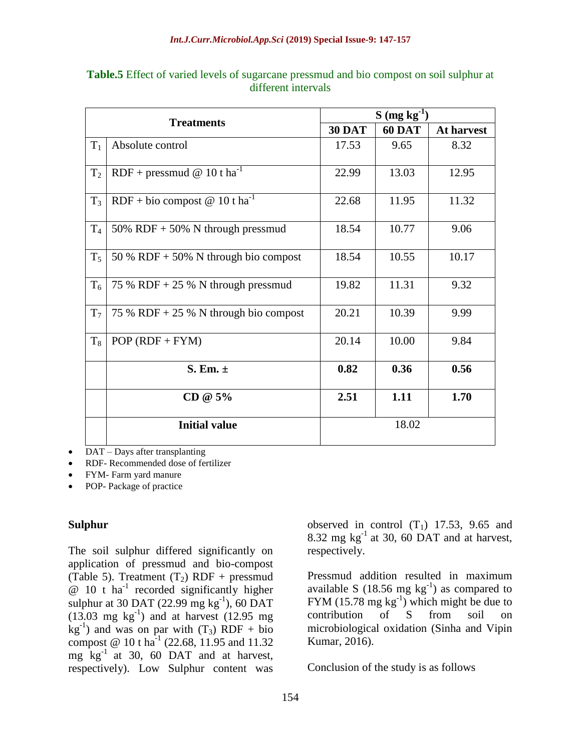| <b>Treatments</b> |                                           | $S(mg kg-1)$  |               |            |  |
|-------------------|-------------------------------------------|---------------|---------------|------------|--|
|                   |                                           | <b>30 DAT</b> | <b>60 DAT</b> | At harvest |  |
| $T_1$             | Absolute control                          | 17.53         | 9.65          | 8.32       |  |
| T <sub>2</sub>    | RDF + pressmud @ 10 t ha <sup>-1</sup>    | 22.99         | 13.03         | 12.95      |  |
| $T_3$             | RDF + bio compost @ 10 t ha <sup>-1</sup> | 22.68         | 11.95         | 11.32      |  |
| $T_4$             | 50% RDF + 50% N through pressmud          | 18.54         | 10.77         | 9.06       |  |
| $T_5$             | 50 % RDF $+$ 50% N through bio compost    | 18.54         | 10.55         | 10.17      |  |
| $T_6$             | 75 % RDF + 25 % N through pressmud        | 19.82         | 11.31         | 9.32       |  |
| $T_7$             | 75 % RDF + 25 % N through bio compost     | 20.21         | 10.39         | 9.99       |  |
| $T_8$             | $POP (RDF + FYM)$                         | 20.14         | 10.00         | 9.84       |  |
|                   | S. Em. $\pm$                              | 0.82          | 0.36          | 0.56       |  |
|                   | CD @ 5%                                   | 2.51          | 1.11          | 1.70       |  |
|                   | <b>Initial value</b>                      | 18.02         |               |            |  |

**Table.5** Effect of varied levels of sugarcane pressmud and bio compost on soil sulphur at different intervals

DAT – Days after transplanting

RDF- Recommended dose of fertilizer

- FYM- Farm yard manure
- POP- Package of practice

#### **Sulphur**

The soil sulphur differed significantly on application of pressmud and bio-compost (Table 5). Treatment  $(T_2)$  RDF + pressmud  $@ 10$  t ha<sup>-1</sup> recorded significantly higher sulphur at 30 DAT  $(22.99 \text{ mg kg}^{-1})$ , 60 DAT  $(13.03 \text{ mg kg}^{-1})$  and at harvest  $(12.95 \text{ mg})$  $kg^{-1}$ ) and was on par with  $(T_3)$  RDF + bio compost @ 10 t ha<sup>-1</sup> (22.68, 11.95 and 11.32) mg kg-1 at 30, 60 DAT and at harvest, respectively). Low Sulphur content was

observed in control  $(T_1)$  17.53, 9.65 and 8.32 mg  $kg^{-1}$  at 30, 60 DAT and at harvest, respectively.

Pressmud addition resulted in maximum available S (18.56 mg  $kg^{-1}$ ) as compared to FYM  $(15.78 \text{ mg kg}^{-1})$  which might be due to contribution of S from soil on microbiological oxidation (Sinha and Vipin Kumar, 2016).

Conclusion of the study is as follows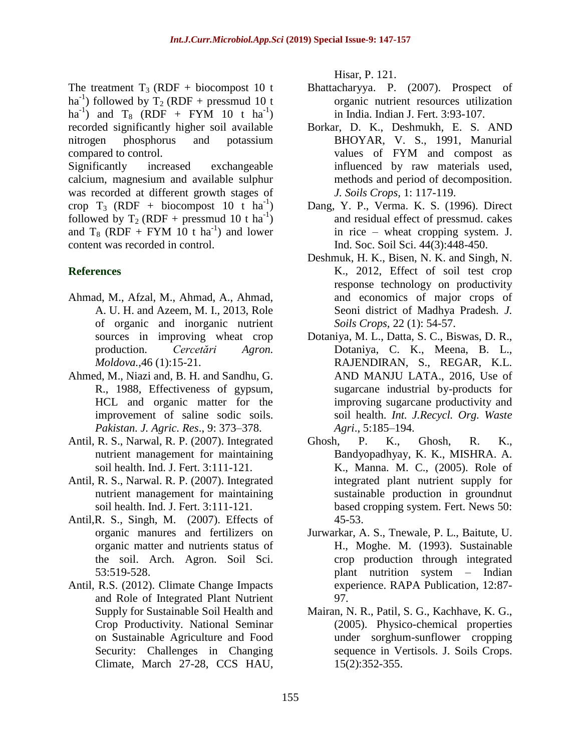The treatment  $T_3$  (RDF + biocompost 10 t ha<sup>-1</sup>) followed by  $T_2$  (RDF + pressmud 10 t ha<sup>-1</sup>) and T<sub>8</sub> (RDF + FYM 10 t ha<sup>-1</sup>) recorded significantly higher soil available nitrogen phosphorus and potassium compared to control.

Significantly increased exchangeable calcium, magnesium and available sulphur was recorded at different growth stages of crop T<sub>3</sub> (RDF + biocompost 10 t ha<sup>-1</sup>) followed by  $T_2$  (RDF + pressmud 10 t ha<sup>-1</sup>) and  $T_8$  (RDF + FYM 10 t ha<sup>-1</sup>) and lower content was recorded in control.

## **References**

- Ahmad, M., Afzal, M., Ahmad, A., Ahmad, A. U. H. and Azeem, M. I., 2013, Role of organic and inorganic nutrient sources in improving wheat crop production. *Cercetări Agron. Moldova.,*46 (1):15-21.
- Ahmed, M., Niazi and, B. H. and Sandhu, G. R., 1988, Effectiveness of gypsum, HCL and organic matter for the improvement of saline sodic soils. *Pakistan. J. Agric. Res*., 9: 373–378.
- Antil, R. S., Narwal, R. P. (2007). Integrated nutrient management for maintaining soil health. Ind. J. Fert. 3:111-121.
- Antil, R. S., Narwal. R. P. (2007). Integrated nutrient management for maintaining soil health. Ind. J. Fert. 3:111-121.
- Antil,R. S., Singh, M. (2007). Effects of organic manures and fertilizers on organic matter and nutrients status of the soil. Arch. Agron. Soil Sci. 53:519-528.
- Antil, R.S. (2012). Climate Change Impacts and Role of Integrated Plant Nutrient Supply for Sustainable Soil Health and Crop Productivity. National Seminar on Sustainable Agriculture and Food Security: Challenges in Changing Climate, March 27-28, CCS HAU,

Hisar, P. 121.

- Bhattacharyya. P. (2007). Prospect of organic nutrient resources utilization in India. Indian J. Fert. 3:93-107.
- Borkar, D. K., Deshmukh, E. S. AND BHOYAR, V. S., 1991, Manurial values of FYM and compost as influenced by raw materials used, methods and period of decomposition. *J. Soils Crops,* 1: 117-119.
- Dang, Y. P., Verma. K. S. (1996). Direct and residual effect of pressmud. cakes in rice – wheat cropping system. J. Ind. Soc. Soil Sci. 44(3):448-450.
- Deshmuk, H. K., Bisen, N. K. and Singh, N. K., 2012, Effect of soil test crop response technology on productivity and economics of major crops of Seoni district of Madhya Pradesh. *J. Soils Crops,* 22 (1): 54-57.
- Dotaniya, M. L., Datta, S. C., Biswas, D. R., Dotaniya, C. K., Meena, B. L., RAJENDIRAN, S., REGAR, K.L. AND MANJU LATA., 2016, Use of sugarcane industrial by-products for improving sugarcane productivity and soil health. *Int. J.Recycl. Org. Waste Agri*., 5:185–194.
- Ghosh, P. K., Ghosh, R. K., Bandyopadhyay, K. K., MISHRA. A. K., Manna. M. C., (2005). Role of integrated plant nutrient supply for sustainable production in groundnut based cropping system. Fert. News 50: 45-53.
- Jurwarkar, A. S., Tnewale, P. L., Baitute, U. H., Moghe. M. (1993). Sustainable crop production through integrated plant nutrition system – Indian experience. RAPA Publication, 12:87- 97.
- Mairan, N. R., Patil, S. G., Kachhave, K. G., (2005). Physico-chemical properties under sorghum-sunflower cropping sequence in Vertisols. J. Soils Crops. 15(2):352-355.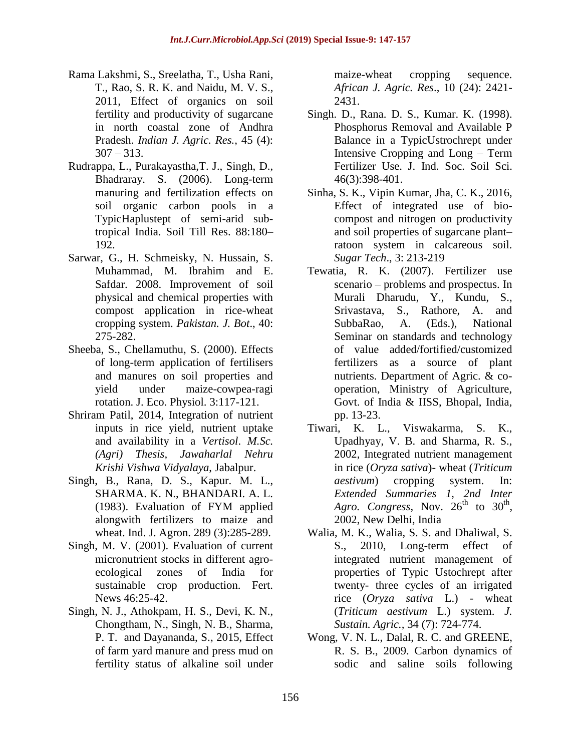- Rama Lakshmi, S., Sreelatha, T., Usha Rani, T., Rao, S. R. K. and Naidu, M. V. S., 2011, Effect of organics on soil fertility and productivity of sugarcane in north coastal zone of Andhra Pradesh. *Indian J. Agric. Res.,* 45 (4):  $307 - 313$ .
- Rudrappa, L., Purakayastha,T. J., Singh, D., Bhadraray. S. (2006). Long-term manuring and fertilization effects on soil organic carbon pools in a TypicHaplustept of semi-arid subtropical India. Soil Till Res. 88:180– 192.
- Sarwar, G., H. Schmeisky, N. Hussain, S. Muhammad, M. Ibrahim and E. Safdar. 2008. Improvement of soil physical and chemical properties with compost application in rice-wheat cropping system. *Pakistan. J. Bot*., 40: 275-282.
- Sheeba, S., Chellamuthu, S. (2000). Effects of long-term application of fertilisers and manures on soil properties and yield under maize-cowpea-ragi rotation. J. Eco. Physiol. 3:117-121.
- Shriram Patil, 2014, Integration of nutrient inputs in rice yield, nutrient uptake and availability in a *Vertisol*. *M.Sc. (Agri) Thesis, Jawaharlal Nehru Krishi Vishwa Vidyalaya*, Jabalpur.
- Singh, B., Rana, D. S., Kapur. M. L., SHARMA. K. N., BHANDARI. A. L. (1983). Evaluation of FYM applied alongwith fertilizers to maize and wheat. Ind. J. Agron. 289 (3):285-289.
- Singh, M. V. (2001). Evaluation of current micronutrient stocks in different agroecological zones of India for sustainable crop production. Fert. News 46:25-42.
- Singh, N. J., Athokpam, H. S., Devi, K. N., Chongtham, N., Singh, N. B., Sharma, P. T. and Dayananda, S., 2015, Effect of farm yard manure and press mud on fertility status of alkaline soil under

maize-wheat cropping sequence. *African J. Agric. Res*., 10 (24): 2421- 2431.

- Singh. D., Rana. D. S., Kumar. K. (1998). Phosphorus Removal and Available P Balance in a TypicUstrochrept under Intensive Cropping and Long – Term Fertilizer Use. J. Ind. Soc. Soil Sci. 46(3):398-401.
- Sinha, S. K., Vipin Kumar, Jha, C. K., 2016, Effect of integrated use of biocompost and nitrogen on productivity and soil properties of sugarcane plant– ratoon system in calcareous soil. *Sugar Tech*., 3: 213-219
- Tewatia, R. K. (2007). Fertilizer use scenario – problems and prospectus. In Murali Dharudu, Y., Kundu, S., Srivastava, S., Rathore, A. and SubbaRao, A. (Eds.), National Seminar on standards and technology of value added/fortified/customized fertilizers as a source of plant nutrients. Department of Agric. & cooperation, Ministry of Agriculture, Govt. of India & IISS, Bhopal, India, pp. 13-23.
- Tiwari, K. L., Viswakarma, S. K., Upadhyay, V. B. and Sharma, R. S., 2002, Integrated nutrient management in rice (*Oryza sativa*)- wheat (*Triticum aestivum*) cropping system. In: *Extended Summaries 1, 2nd Inter*  Agro. Congress, Nov.  $26^{th}$  to  $30^{th}$ , 2002, New Delhi, India
- Walia, M. K., Walia, S. S. and Dhaliwal, S. S., 2010, Long-term effect of integrated nutrient management of properties of Typic Ustochrept after twenty- three cycles of an irrigated rice (*Oryza sativa* L.) - wheat (*Triticum aestivum* L.) system. *J. Sustain. Agric.,* 34 (7): 724-774.
- Wong, V. N. L., Dalal, R. C. and GREENE, R. S. B., 2009. Carbon dynamics of sodic and saline soils following